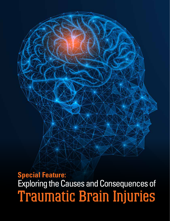**Special Feature:** Exploring the Causes and Consequences of Traumatic Brain Injuries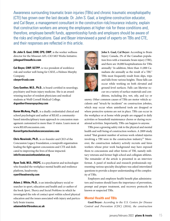Awareness surrounding traumatic brain injuries (TBIs) and chronic traumatic encephalopathy (CTE) has grown over the last decade. Dr. John S. Gaal, a longtime construction educator, and Cal Beyer, a management consultant in the construction risk/insurance industry, explain that construction workers are among the employees at higher risk for these conditions and, therefore, employee benefit funds, apprenticeship funds and employers should be aware of the risks and implications. Gaal and Beyer interviewed a panel of experts on TBIs and CTE, and their responses are reflected in this article.

**Dr. John S. Gaal, CHW, CPS, CWP**, is the worker wellness director for the Missouri AFL-CIO MO Works Initiative. **johngaal@moaflcio.com**

**Cal Beyer, CWP, SCTPP**, is vice president of workforce risk and worker well-being for CSDZ, a Holmes Murphy Company. **cbeyer@csdz.com** 

**Cary Gunther, M.D., Ph.D.**, is board-certified in neurology, psychiatry and brain injury medicine. She is an awardwinning teacher of resident physicians and medical students at Weill Cornell Medical College. **drgunther@neuropsychny.com**

**Karen McAvoy, Psy.D.**, is a dually credentialed clinical and school psychologist and author of REAP, a communitybased interdisciplinary team approach to concussion management customized in more than 15 states. Learn more at www.REAPconcussion.com.

#### **Karen@getschooledonconcussions.com**

**Chris Nowinski, Ph.D.**, is co-founder and CEO of the Concussion Legacy Foundation, a nonprofit organization leading the fight against concussions and CTE and dedicated to improving the lives of those impacted. **info@concussionfoundation.org**

**Ryan Todd, M.D., FRCPC**, is a psychiatrist and technologist who founded the workplace mental health and resilience platform, headversity. **ryan@headversity.com**

**Adam J. White, Ph.D.**, is an interdisciplinary social researcher in sport, education and health and co-author of the book *Sport, Theory and Social Problems* in which he investigated the role of contact sport within school physical education and the issues associated with injury and particularly brain trauma.

**adamwhite@brookes.ac.uk**



**John S. Gaal, Cal Beyer:** According to Brain Injury Canada, 2% of the Canadian population lives with a traumatic brain injury (TBI), and there are 18,000 hospitalizations for TBIs annually.<sup>1</sup> In addition, More than 11,000 Canadians die annually as the result of a TBI.2 TBIs most frequently result from slips, trips and falls from various heights. These falls can occur while working on both elevated and ground-level surfaces. Falls can likewise occur on a variety of surface materials and conditions, including dry, wet, oily, and icy or

snowy. Other common causes of TBIs are motor vehicle accidents and "struck-by incidents" on construction jobsites, which may occur when untethered tools are dropped or where protective systems are not in place. TBIs can occur in the workplace or at home while people are engaged in daily activities or household maintenance chores or during recreational activities. Importantly, TBIs can happen to anyone.

TBIs pose a growing safety risk to the physical and mental health and well-being of construction workers. A 2009 study noted "that greatest number of serious work-related injuries involving a TBI were in the construction industry."<sup>3</sup> Moreover, the construction industry actively recruits and hires workers whose prior work background may have exposed them to concussions and other forms of TBI, namely military veterans and former high school and collegiate athletes. The remainder of the article is presented in an interview format. A panel of medical and research professionals representing various specialty disciplines was asked interrelated questions to provide a deeper understanding of the complexity of TBIs.

Employers and employee health benefit plan administrators and trustees should learn the importance of prevention, prompt and proper treatment, and recovery protocols for known or suspected TBIs.

#### **Mental Health and TBIs**

**Gaal/Beyer:** *According to the U.S. Centers for Disease Control and Prevention (CDC) (2016), the construction*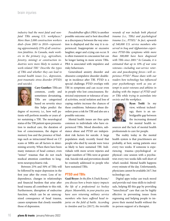*industry had the most fatal and nonfatal TBIs among U.S. workplaces.4 More than 2,000 construction workers died—from 2003 to 2010—representing approximately 25% of all construction fatalities. In Canada, male workers in the primary (e.g., agriculture, forestry, mining) or construction industries were more likely to sustain a work-related TBI.5 Describe the types of TBIs and whether they can lead to mental health issues (i.e., depression, post-traumatic stress disorder (PTSD) and suicide).*



**Cary Gunther:** TBIs are common, costly and sometimes devastating. TBIs are categorized based on severity since this helps predict the

degree of recovery, i.e., how well patients will perform months or years after sustaining a TBI. The neurological status of the TBI patient upon presentation to medical care, the duration of loss of consciousness, the degree of memory loss and the presence of findings such as intracranial blood on CT scans or MRIs are all factors in determining severity. When there have been many instances of head contact, even "minor" traumas that do not reach medical attention contribute to longterm neuropsychiatric risk.

Between 25% and 50% of TBIs will be followed by major depression in the first year after the event. Loss of independence, changes in relationships and financial burdens that arise after head trauma all contribute to this risk. Furthermore, disruption of endocrine function, which can be an unrecognized consequence of head trauma, causes symptoms that closely resemble those of depression.

*Pseudobulbar affect (PBA)* is another possible outcome and is best described as a discrepancy between the way emotion is displayed and the way it is experienced. Inappropriate or excessive laughter, anger and crying can occur. It is often transient in concussion but can be longer lasting in more severe TBIs. PBA is associated with impulsive and risky behaviours.

Generalized anxiety disorder and obsessive-compulsive disorder doubleup in incidence after TBI. PTSD is a special challenge; PTSD overlaps with TBI in symptoms and can occur even in people who lost consciousness. Restricted enjoyment or tolerance of usual activities, social isolation and loss of coping outlets increase the chances of these conditions. Substance abuse disorders pose a risk for TBI and also are a possible outcome.

Mental health issues are thus quite common in individuals who have experienced TBIs. Mood disorders, substance abuse and PTSD are independent risk factors for suicide. A large population study recently found that people who died by suicide were twice as likely to have sustained TBI. Individuals with more severe injuries and larger numbers of TBIs were at greater risk. Suicide risk and prevention should be routinely addressed in people who have sustained TBIs.

#### **PTSD and TBIs**

**Gaal/Beyer:** *In the film* A Dark Room*, 6 you discuss how a brain injury impacts the life of a professional ice hockey player. Meanwhile, in your practice you have seen returning military service members who have suffered head injuries on the field of battle. According to Amidon and Lu (2017), the invisible* 

*wounds of war include both physical trauma (i.e., TBIs) and psychological trauma (i.e., PTSD).7 In fact, upwards of 540,000 U.S. service members who served in Iraq and Afghanistan experience PTSD-like symptoms while more than 300,000 have been diagnosed with TBIs since 2001.8 In Canada, it is estimated that up to 10% of war zone veterans—including war-service veterans and peacekeeping forces—will experience PTSD.9 Please share with our readers how technology has influenced your psychotherapy work as you attempt to assist veterans and athletes in dealing with the impact of PTSD and/ or TBIs while trying to assimilate into society and the workplace.* 



**Ryan Todd:** In my view, without technology, there is an unbridgeable gap between the increasing demand for mental health re-

sources and the lack of mental health professionals to care for people.

The reality today in the mental health system is that practitioners are probably, at best, seeing patients once every two weeks. If someone is experiencing trauma—psychological or physical—one session with a psychiatrist every two weeks falls well short of what's needed. Mental health happens every minute of the day. Unfortunately, physicians cannot be available 24/7, but technology can.

Digital apps today can track mood and provide real-time skills to individuals, helping fill this gap by providing "interclinical" care that can be highly effective in preventing issues from regressing and helping people to improve their mental health without the in-person support of a therapist.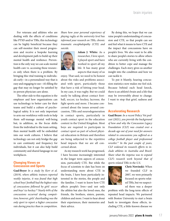For veterans and athletes who are dealing with the effects of conditions like PTSD and/or TBIs, this technology can be highly beneficial because they can self-monitor their mood progression and receive a bespoke learning and development path to build up their mental health and resilience. Prevention is the only way we can scale mental health care vs. accessing these resources only when there is a problem. By bringing this vital training to individuals early—in a personalized way that is easy and engaging to use—it's filling the gap that may no longer be satisfied by in-person physician care alone.

The other side to this equation is the employer and how organizations can use technology to better care for their teams and build a culture of psychological safety. It is not only important to arm our workforce with tools to help them self-manage mental well-being but, in addition, as the focus shifts from the individual to the team setting, then mental health will be embedded into our work cultures. I believe that technology can not only bridge the gap in care continuity and frequency for individuals, but it can also help build community and shared language in our workplaces.

## **Changing Views on Concussion and Sports**

**Gaal/Beyer** *In a study by Kerr et al. (2019), where athletic trainers reported weekly injuries, it was found that high school boys' football had the highest rates of concussions followed by girls' soccer and boys' ice hockey.10 Nearly 64% of the concussions occurred during competition; however, girls' cheerleading was the only sport to report a higher concussion rate during practice than in competition.* 

*Share how your personal experience of playing rugby at the university level has informed your research on TBIs, chronic traumatic encephalopathy (CTE) and suicide.* 



**Adam J. White:** As a researcher, I love sport. I played sport and have worked in sport all my life. It has many great aspects that many of us

enjoy. That said, we need to be honest about the risks and problems associated with sport, particularly those that have a risk of hitting your head. In my case, it was rugby. But we could easily be talking about contact football, soccer, ice hockey, lacrosse, the fight sports and more. I became concerned about the issues around concussion, TBIs and neurodegeneration in contact sports, particularly in youth contact sport in the education context in the United Kingdom. Most boys are required to participate in contact sport as part of school physical education in Britain and therefore are being subjected to the repetitive head impacts that we are all concerned about.

As my research work has progressed, I have become increasingly interested in the longer term aspects of concussion, particularly CTE. But while the focus of scientists to date has been on understanding more about CTE in the brain, I have been particularly interested in the stories, the people and the families. I want to know how CTE affects people's lives—and not only the athlete but also the loved ones, the friends, the brothers, sisters, parents, children and more. I want to hear about their experiences, their memories and their advice.

By doing this, we hope that we can raise people's understanding of concussion and CTE, so that people can see and feel what it means to have CTE and the impact that concussions have on people's lives. We also want to be able to share people's stories to allow others who are currently living with the condition to better cope and manage the challenges. Each story gives us another insight into the condition and how we can tackle it.

To put it bluntly, hearing concussion statistics now makes me feel sick. Because behind each head knock, there is an athlete's brain and a life that may be irreversibly about to change. I want to stop that grief, sadness and loss.

#### **Accelerating Research**

**Gaal/Beyer:** *In a recent* Policy Vet *podcast (2021), you provide the background of how and why the Concussion Legacy Foundation (CLF) was created over a decade ago out of your need for answers related to concussions you suffered as a college football player and professional wrestler.11 In the past couple of years, CLF widened its research efforts to include athletes in Australia and Brazil. Share what the impetus was to expand CLF's research work beyond that of sports-related TBIs in the U.S.*



**Chris Nowinski:** When we founded CLF in 2007, we were primarily focused on sports-related TBIs, but we suspected there was a deeper

problem with the long-term effects of repeated head impacts. We partnered with Boston University to start a brain bank to investigate those effects, including CTE, a little-known disease we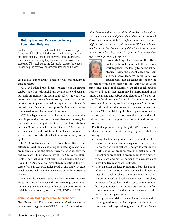# **Getting Involved: Concussion Legacy Foundation HelpLine**

Readers can get involved in the work of the Concussion Legacy Project by joining CLF's clinical research registry or by pledging their brain to the CLF brain bank at www.PledgeMyBrain.org. If you or a loved one is fighting the effects of concussions or suspected CTE, reach out to the Concussion Legacy Foundation Canada helpline at www.ConcussionFoundation.ca/helpline.

used to call "punch drunk" because it was only thought to exist in boxers.

CTE and other brain diseases related to brain trauma can be studied only through brain donation, so we began an outreach program for the brain bank. After studying 1,000 donors, we have proven that, for some, concussions and repetitive head impacts have lifelong repercussions. Scientific breakthroughs have only been possible thanks to families who have donated the brain of a loved one.

CTE is a degenerative brain disease caused by repetitive head impacts that can cause neurobehavioural dysregulation and impaired cognition. It can cause dementia by a person's 50s or derail a life in one's teens or 20s. Now that we understand the devastation of the disease, we realized we need to recruit the global scientific community to the fight.

In 2018, we launched the CLF Global Brain Bank to accelerate research by collaborating with leading scientists at brain banks around the globe, where we often identify the first cases of CTE in those countries. The CLF Global Brain Bank is now active in Australia, Brazil, Canada and New Zealand. In Australia, we have already identified the first cases of CTE in Australia Rules Football and Rugby League, which has started a national conversation on brain trauma in sports.

We have also shown that CTE affects military veterans. Thus, we launched Project Enlist to encourage brain donation among veterans to ensure that we can better solve the invisible wounds of war, including TBI, PTSD and CTE.

### **Concussion Management for Apprentices**

**Gaal/Beyer:** *In 2009, you started a pediatric concussion management program called REAP (remove/reduce, educate,* 

*adjust/accommodate and pace) for all students after a Colorado high school football player died following back-to-back TBIs/concussions in 2004.12 Briefly explain how educators might transfer lessons learned from your "Return to Learn" and "Return to Play" models by applying these toward schooling and work (vs. play), respectively, in their postsecondary apprenticeship training programs.*



**Karen McAvoy:** The focus of the REAP booklet is to make sure that all four teams work together—the family team, the school physical team, the school academic team and the medical team. While all teams have crucial roles, not all teams are supporting

the person with a concussion in the same way or at the same time. The school physical team (the coach/athletic trainer) and the medical team may be instrumental in the initial diagnosis and subsequent clearance of a concussion. The family team and the school academic team are instrumental in the day-to-day "management" of the concussion throughout the weeks in between injury and clearance. This model is applicable to persons returning to school, to work or to postsecondary apprenticeship training programs throughout the first to fourth weeks of recovery.

Practical approaches for applying the REAP model to the workplace and apprenticeship training programs include the following.

- Being able to manage symptoms is the first hurdle. If persons with a concussion struggle with intense symptoms, they will not feel well enough to even be at a work, school or an apprenticeship setting. A job, school or apprenticeship program needs to first provide a "soft landing" for persons with symptoms by providing frequent, short rest breaks.
- Once a person can keep symptoms at bay, the amount of mental exertion needs to be removed and reduced. Just like we ask teachers to remove nonessential inclass/homework and reduce semiessential in-class/ homework for students with a concussion at school, bosses, supervisors and instructors must be mindful about the amount of work expected in a work or training setting during recovery.
- Finally, the essential elements of a job, lesson and/or training need to be met for the person with a concussion to get a fair paycheck or grade or certificate. Super-